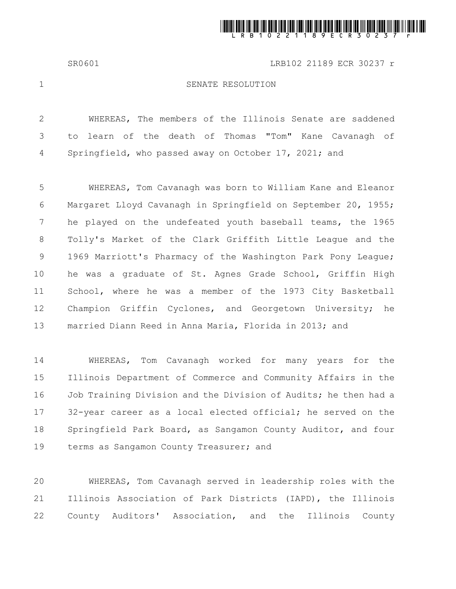

SR0601 LRB102 21189 ECR 30237 r

1

## SENATE RESOLUTION

WHEREAS, The members of the Illinois Senate are saddened to learn of the death of Thomas "Tom" Kane Cavanagh of Springfield, who passed away on October 17, 2021; and 2 3 4

WHEREAS, Tom Cavanagh was born to William Kane and Eleanor Margaret Lloyd Cavanagh in Springfield on September 20, 1955; he played on the undefeated youth baseball teams, the 1965 Tolly's Market of the Clark Griffith Little League and the 1969 Marriott's Pharmacy of the Washington Park Pony League; he was a graduate of St. Agnes Grade School, Griffin High School, where he was a member of the 1973 City Basketball Champion Griffin Cyclones, and Georgetown University; he married Diann Reed in Anna Maria, Florida in 2013; and 5 6 7 8 9 10 11 12 13

WHEREAS, Tom Cavanagh worked for many years for the Illinois Department of Commerce and Community Affairs in the Job Training Division and the Division of Audits; he then had a 32-year career as a local elected official; he served on the Springfield Park Board, as Sangamon County Auditor, and four terms as Sangamon County Treasurer; and 14 15 16 17 18 19

WHEREAS, Tom Cavanagh served in leadership roles with the Illinois Association of Park Districts (IAPD), the Illinois County Auditors' Association, and the Illinois County 20 21 22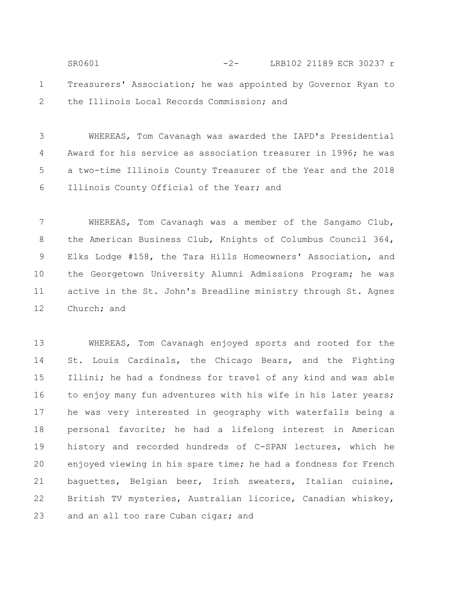Treasurers' Association; he was appointed by Governor Ryan to the Illinois Local Records Commission; and 1 2 SR0601 -2- LRB102 21189 ECR 30237 r

WHEREAS, Tom Cavanagh was awarded the IAPD's Presidential Award for his service as association treasurer in 1996; he was a two-time Illinois County Treasurer of the Year and the 2018 Illinois County Official of the Year; and 3 4 5 6

WHEREAS, Tom Cavanagh was a member of the Sangamo Club, the American Business Club, Knights of Columbus Council 364, Elks Lodge #158, the Tara Hills Homeowners' Association, and the Georgetown University Alumni Admissions Program; he was active in the St. John's Breadline ministry through St. Agnes Church; and 7 8 9 10 11 12

WHEREAS, Tom Cavanagh enjoyed sports and rooted for the St. Louis Cardinals, the Chicago Bears, and the Fighting Illini; he had a fondness for travel of any kind and was able to enjoy many fun adventures with his wife in his later years; he was very interested in geography with waterfalls being a personal favorite; he had a lifelong interest in American history and recorded hundreds of C-SPAN lectures, which he enjoyed viewing in his spare time; he had a fondness for French baguettes, Belgian beer, Irish sweaters, Italian cuisine, British TV mysteries, Australian licorice, Canadian whiskey, and an all too rare Cuban cigar; and 13 14 15 16 17 18 19 20 21 22 23